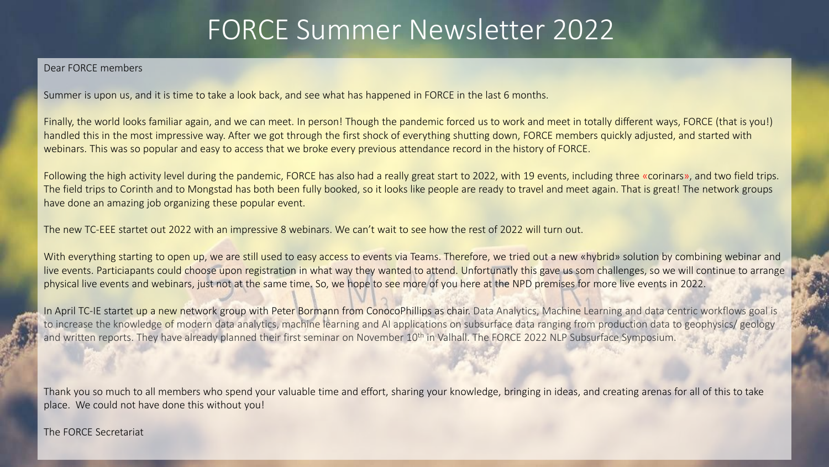### FORCE Summer Newsletter 2022

#### Dear FORCE members

Summer is upon us, and it is time to take a look back, and see what has happened in FORCE in the last 6 months.

Finally, the world looks familiar again, and we can meet. In person! Though the pandemic forced us to work and meet in totally different ways, FORCE (that is you!) handled this in the most impressive way. After we got through the first shock of everything shutting down, FORCE members quickly adjusted, and started with webinars. This was so popular and easy to access that we broke every previous attendance record in the history of FORCE.

Following the high activity level during the pandemic, FORCE has also had a really great start to 2022, with 19 events, including three «corinars», and two field trips. The field trips to Corinth and to Mongstad has both been fully booked, so it looks like people are ready to travel and meet again. That is great! The network groups have done an amazing job organizing these popular event.

The new TC-EEE startet out 2022 with an impressive 8 webinars. We can't wait to see how the rest of 2022 will turn out.

With everything starting to open up, we are still used to easy access to events via Teams. Therefore, we tried out a new «hybrid» solution by combining webinar and live events. Particiapants could choose upon registration in what way they wanted to attend. Unfortunatly this gave us som challenges, so we will continue to arrange physical live events and webinars, just not at the same time. So, we hope to see more of you here at the NPD premises for more live events in 2022.

In April TC-IE startet up a new network group with Peter Bormann from ConocoPhillips as chair. Data Analytics, Machine Learning and data centric workflows goal is to increase the knowledge of modern data analytics, machine learning and AI applications on subsurface data ranging from production data to geophysics/ geology and written reports. They have already planned their first seminar on November 10<sup>th</sup> in Valhall. The FORCE 2022 NLP Subsurface Symposium.

Thank you so much to all members who spend your valuable time and effort, sharing your knowledge, bringing in ideas, and creating arenas for all of this to take place. We could not have done this without you!

#### The FORCE Secretariat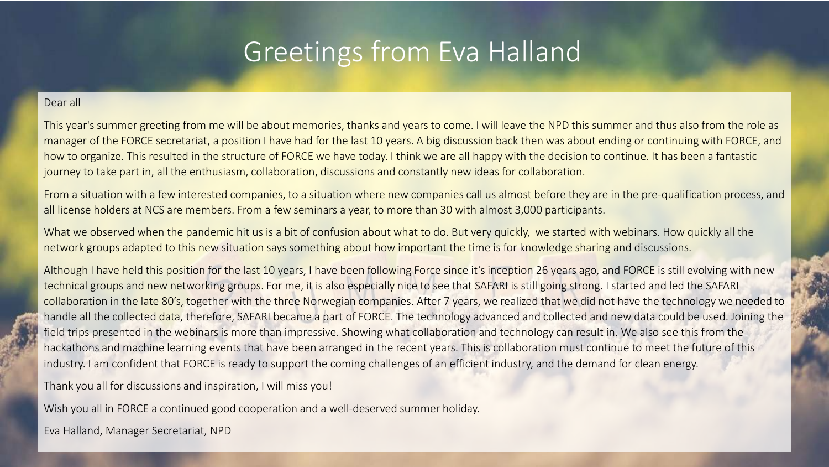## Greetings from Eva Halland

#### Dear all

This year's summer greeting from me will be about memories, thanks and years to come. I will leave the NPD this summer and thus also from the role as manager of the FORCE secretariat, a position I have had for the last 10 years. A big discussion back then was about ending or continuing with FORCE, and how to organize. This resulted in the structure of FORCE we have today. I think we are all happy with the decision to continue. It has been a fantastic journey to take part in, all the enthusiasm, collaboration, discussions and constantly new ideas for collaboration.

From a situation with a few interested companies, to a situation where new companies call us almost before they are in the pre-qualification process, and all license holders at NCS are members. From a few seminars a year, to more than 30 with almost 3,000 participants.

What we observed when the pandemic hit us is a bit of confusion about what to do. But very quickly, we started with webinars. How quickly all the network groups adapted to this new situation says something about how important the time is for knowledge sharing and discussions.

Although I have held this position for the last 10 years, I have been following Force since it's inception 26 years ago, and FORCE is still evolving with new technical groups and new networking groups. For me, it is also especially nice to see that SAFARI is still going strong. I started and led the SAFARI collaboration in the late 80's, together with the three Norwegian companies. After 7 years, we realized that we did not have the technology we needed to handle all the collected data, therefore, SAFARI became a part of FORCE. The technology advanced and collected and new data could be used. Joining the field trips presented in the webinars is more than impressive. Showing what collaboration and technology can result in. We also see this from the hackathons and machine learning events that have been arranged in the recent years. This is collaboration must continue to meet the future of this industry. I am confident that FORCE is ready to support the coming challenges of an efficient industry, and the demand for clean energy.

Thank you all for discussions and inspiration, I will miss you!

Wish you all in FORCE a continued good cooperation and a well-deserved summer holiday.

Eva Halland, Manager Secretariat, NPD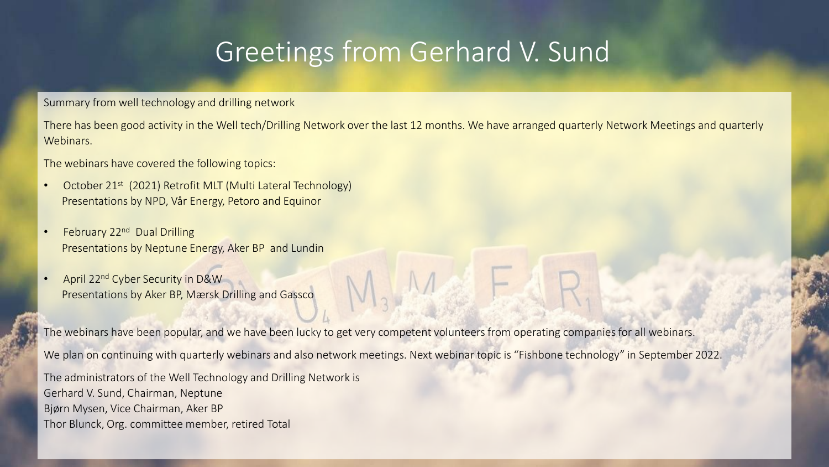### Greetings from Gerhard V. Sund

Summary from well technology and drilling network

There has been good activity in the Well tech/Drilling Network over the last 12 months. We have arranged quarterly Network Meetings and quarterly Webinars.

The webinars have covered the following topics:

- October 21<sup>st</sup> (2021) Retrofit MLT (Multi Lateral Technology) Presentations by NPD, Vår Energy, Petoro and Equinor
- February 22<sup>nd</sup> Dual Drilling Presentations by Neptune Energy, Aker BP and Lundin
- April 22nd Cyber Security in D&W Presentations by Aker BP, Mærsk Drilling and Gassco

The webinars have been popular, and we have been lucky to get very competent volunteers from operating companies for all webinars.

We plan on continuing with quarterly webinars and also network meetings. Next webinar topic is "Fishbone technology" in September 2022.

The administrators of the Well Technology and Drilling Network is Gerhard V. Sund, Chairman, Neptune Bjørn Mysen, Vice Chairman, Aker BP Thor Blunck, Org. committee member, retired Total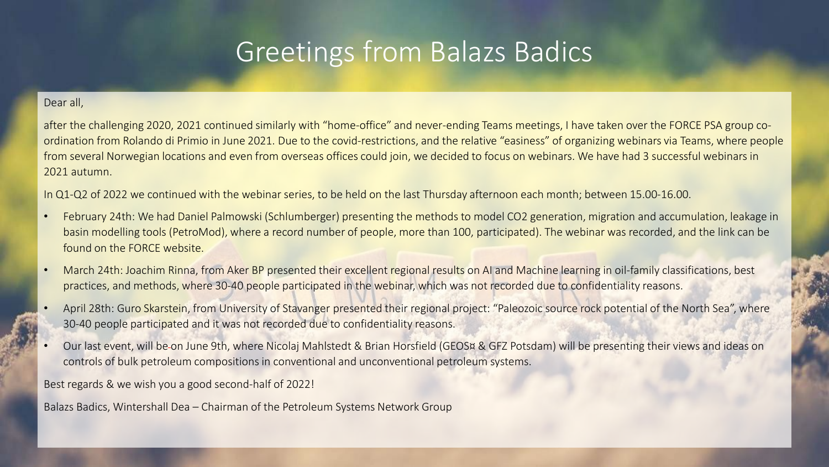### Greetings from Balazs Badics

#### Dear all,

after the challenging 2020, 2021 continued similarly with "home-office" and never-ending Teams meetings, I have taken over the FORCE PSA group coordination from Rolando di Primio in June 2021. Due to the covid-restrictions, and the relative "easiness" of organizing webinars via Teams, where people from several Norwegian locations and even from overseas offices could join, we decided to focus on webinars. We have had 3 successful webinars in 2021 autumn.

In Q1-Q2 of 2022 we continued with the webinar series, to be held on the last Thursday afternoon each month; between 15.00-16.00.

- February 24th: We had Daniel Palmowski (Schlumberger) presenting the methods to model CO2 generation, migration and accumulation, leakage in basin modelling tools (PetroMod), where a record number of people, more than 100, participated). The webinar was recorded, and the link can be found on the FORCE website.
- March 24th: Joachim Rinna, from Aker BP presented their excellent regional results on AI and Machine learning in oil-family classifications, best practices, and methods, where 30-40 people participated in the webinar, which was not recorded due to confidentiality reasons.
- April 28th: Guro Skarstein, from University of Stavanger presented their regional project: "Paleozoic source rock potential of the North Sea", where 30-40 people participated and it was not recorded due to confidentiality reasons.
- Our last event, will be on June 9th, where Nicolaj Mahlstedt & Brian Horsfield (GEOS¤ & GFZ Potsdam) will be presenting their views and ideas on controls of bulk petroleum compositions in conventional and unconventional petroleum systems.

Best regards & we wish you a good second-half of 2022!

Balazs Badics, Wintershall Dea – Chairman of the Petroleum Systems Network Group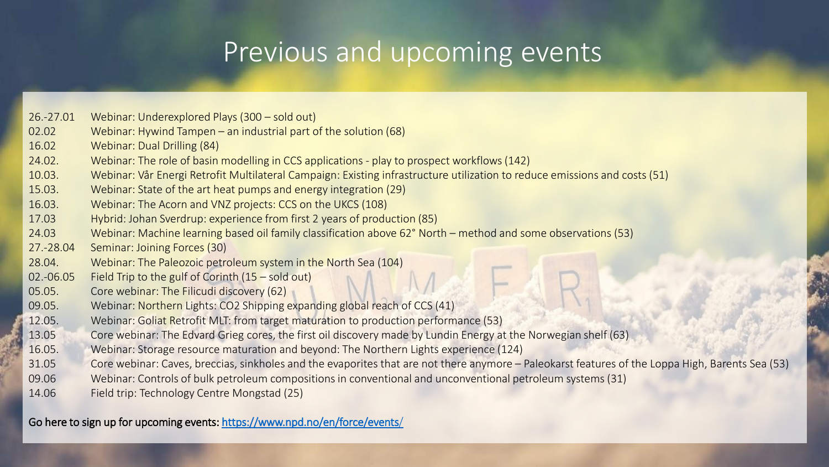# Previous and upcoming events

| 26.-27.01 | Webinar: Underexplored Plays (300 - sold out)                                                                                                    |
|-----------|--------------------------------------------------------------------------------------------------------------------------------------------------|
|           |                                                                                                                                                  |
| 02.02     | Webinar: Hywind Tampen – an industrial part of the solution $(68)$                                                                               |
| 16.02     | Webinar: Dual Drilling (84)                                                                                                                      |
| 24.02.    | Webinar: The role of basin modelling in CCS applications - play to prospect workflows (142)                                                      |
| 10.03.    | Webinar: Vår Energi Retrofit Multilateral Campaign: Existing infrastructure utilization to reduce emissions and costs (51)                       |
| 15.03.    | Webinar: State of the art heat pumps and energy integration (29)                                                                                 |
| 16.03.    | Webinar: The Acorn and VNZ projects: CCS on the UKCS (108)                                                                                       |
| 17.03     | Hybrid: Johan Sverdrup: experience from first 2 years of production (85)                                                                         |
| 24.03     | Webinar: Machine learning based oil family classification above 62° North – method and some observations (53)                                    |
| 27.-28.04 | Seminar: Joining Forces (30)                                                                                                                     |
| 28.04.    | Webinar: The Paleozoic petroleum system in the North Sea (104)                                                                                   |
| 02.-06.05 | Field Trip to the gulf of Corinth $(15 - \text{ sold out})$                                                                                      |
| 05.05.    | Core webinar: The Filicudi discovery (62)                                                                                                        |
| 09.05.    | Webinar: Northern Lights: CO2 Shipping expanding global reach of CCS (41)                                                                        |
| 12.05.    | Webinar: Goliat Retrofit MLT: from target maturation to production performance (53)                                                              |
| 13.05     | Core webinar: The Edvard Grieg cores, the first oil discovery made by Lundin Energy at the Norwegian shelf (63)                                  |
| 16.05.    | Webinar: Storage resource maturation and beyond: The Northern Lights experience (124)                                                            |
| 31.05     | Core webinar: Caves, breccias, sinkholes and the evaporites that are not there anymore - Paleokarst features of the Loppa High, Barents Sea (53) |
| 09.06     | Webinar: Controls of bulk petroleum compositions in conventional and unconventional petroleum systems (31)                                       |
| 14.06     | Field trip: Technology Centre Mongstad (25)                                                                                                      |
|           |                                                                                                                                                  |

Go here to sign up for upcoming events:<https://www.npd.no/en/force/events/>